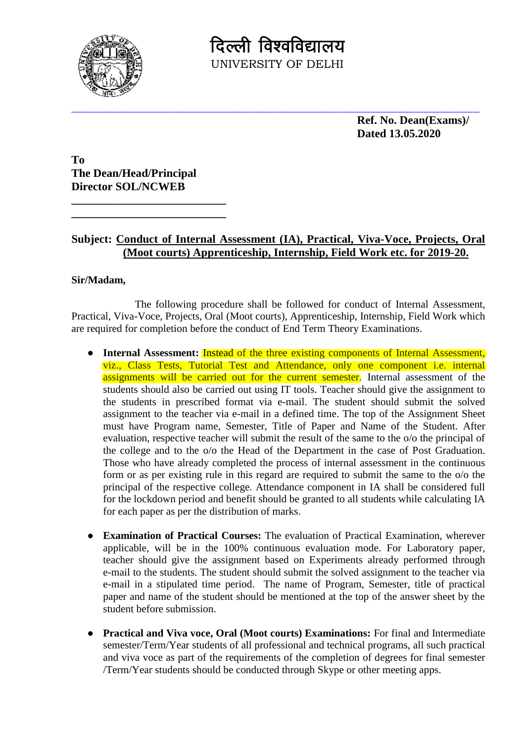

दिल्ली विश्वविद्यालय UNIVERSITY OF DELHI

> **Ref. No. Dean(Exams)/ Dated 13.05.2020**

**To The Dean/Head/Principal Director SOL/NCWEB**

**\_\_\_\_\_\_\_\_\_\_\_\_\_\_\_\_\_\_\_\_\_\_\_\_\_\_\_ \_\_\_\_\_\_\_\_\_\_\_\_\_\_\_\_\_\_\_\_\_\_\_\_\_\_\_**

## **Subject: Conduct of Internal Assessment (IA), Practical, Viva-Voce, Projects, Oral (Moot courts) Apprenticeship, Internship, Field Work etc. for 2019-20.**

## **Sir/Madam,**

The following procedure shall be followed for conduct of Internal Assessment, Practical, Viva-Voce, Projects, Oral (Moot courts), Apprenticeship, Internship, Field Work which are required for completion before the conduct of End Term Theory Examinations.

- **Internal Assessment:** Instead of the three existing components of Internal Assessment, viz., Class Tests, Tutorial Test and Attendance, only one component i.e. internal assignments will be carried out for the current semester. Internal assessment of the students should also be carried out using IT tools. Teacher should give the assignment to the students in prescribed format via e-mail. The student should submit the solved assignment to the teacher via e-mail in a defined time. The top of the Assignment Sheet must have Program name, Semester, Title of Paper and Name of the Student. After evaluation, respective teacher will submit the result of the same to the o/o the principal of the college and to the o/o the Head of the Department in the case of Post Graduation. Those who have already completed the process of internal assessment in the continuous form or as per existing rule in this regard are required to submit the same to the o/o the principal of the respective college. Attendance component in IA shall be considered full for the lockdown period and benefit should be granted to all students while calculating IA for each paper as per the distribution of marks.
- **Examination of Practical Courses:** The evaluation of Practical Examination, wherever applicable, will be in the 100% continuous evaluation mode. For Laboratory paper, teacher should give the assignment based on Experiments already performed through e-mail to the students. The student should submit the solved assignment to the teacher via e-mail in a stipulated time period. The name of Program, Semester, title of practical paper and name of the student should be mentioned at the top of the answer sheet by the student before submission.
- **Practical and Viva voce, Oral (Moot courts) Examinations:** For final and Intermediate semester/Term/Year students of all professional and technical programs, all such practical and viva voce as part of the requirements of the completion of degrees for final semester /Term/Year students should be conducted through Skype or other meeting apps.